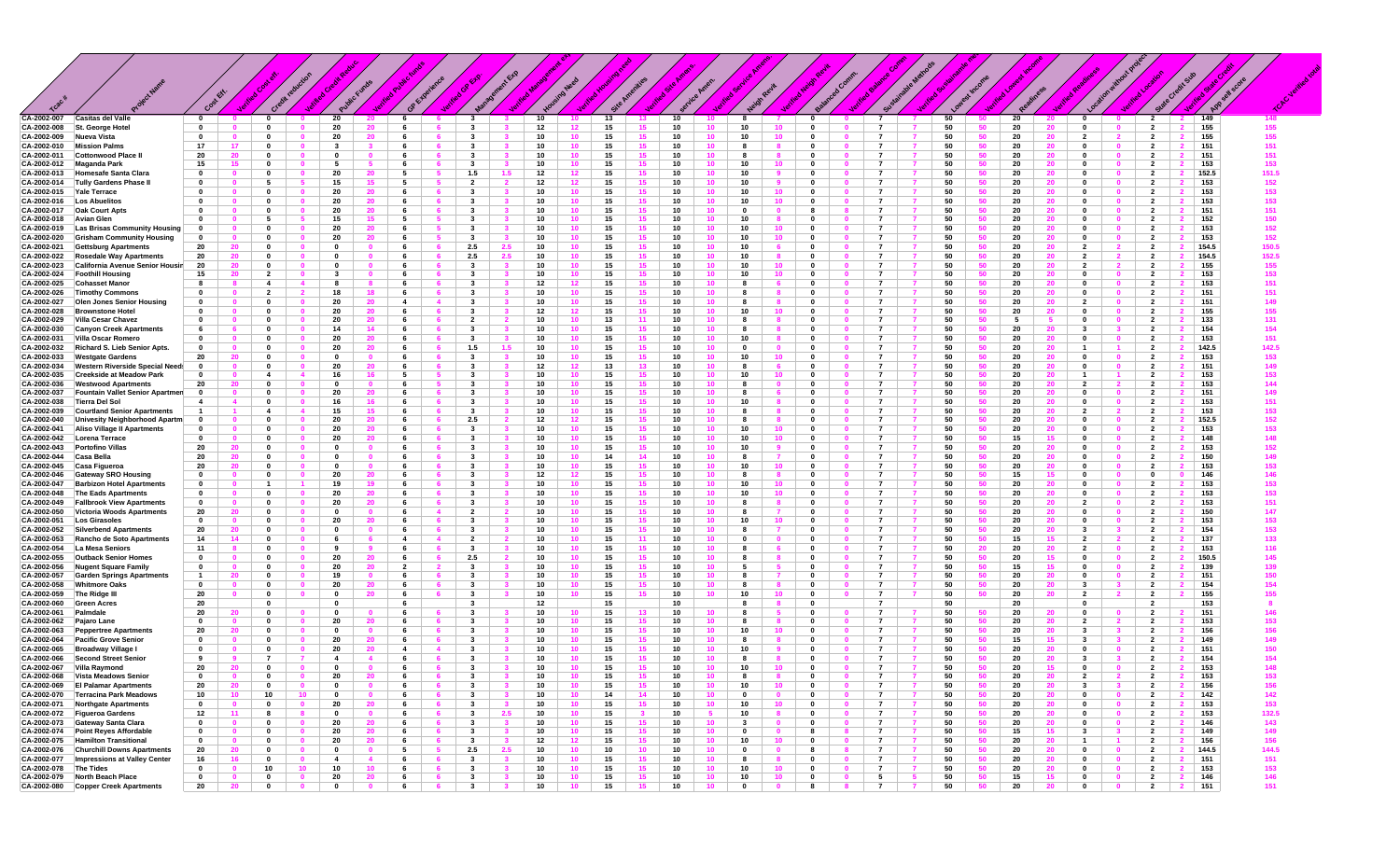|                            |                                                                          |                             | <b>STATE</b>             |                                |                          |                               |                      |                              |                      |                                |                     |                 |                                                |                                     |          |                       |                                                   |                              |                                                                  |                                  |          |          |               |                                                            |                                           |                                                                  |              |  |
|----------------------------|--------------------------------------------------------------------------|-----------------------------|--------------------------|--------------------------------|--------------------------|-------------------------------|----------------------|------------------------------|----------------------|--------------------------------|---------------------|-----------------|------------------------------------------------|-------------------------------------|----------|-----------------------|---------------------------------------------------|------------------------------|------------------------------------------------------------------|----------------------------------|----------|----------|---------------|------------------------------------------------------------|-------------------------------------------|------------------------------------------------------------------|--------------|--|
|                            |                                                                          | c                           |                          |                                |                          |                               |                      |                              |                      |                                |                     |                 |                                                |                                     |          |                       |                                                   |                              |                                                                  |                                  |          |          |               |                                                            |                                           |                                                                  |              |  |
| CA-2002-007                | <b>Casitas del Valle</b><br>St. George Hotel                             | $\mathbf 0$                 |                          | $\mathbf 0$                    |                          | 20                            |                      | 6                            |                      | 3                              |                     | 10              | 13                                             | 13,                                 | 10       |                       | 8                                                 | $\mathbf 0$                  | $\overline{7}$                                                   | 50                               |          | 20       |               | $\mathbf 0$                                                | $\overline{2}$                            | 149                                                              | 148          |  |
| CA-2002-008<br>CA-2002-009 | Nueva Vista                                                              | $\mathbf 0$<br>$\mathbf 0$  |                          | $\mathbf{0}$<br>0              |                          | -20<br>20                     | 20<br>-20            | - 6<br>6                     |                      | $\mathbf{3}$<br>$\mathbf{3}$   |                     | 12<br>10        | 15<br>12<br>15<br>10                           | 15<br>15                            | 10<br>10 | 10<br>10              | 10<br>10<br>10                                    | $\mathbf{0}$<br>$\mathbf 0$  | $\mathbf{0}$<br>7                                                | 50<br>50                         | 50       | 20<br>20 | 20<br>20      | $\mathbf{0}$<br>$\overline{2}$                             | $\overline{2}$<br>$\overline{2}$          | 155<br>2<br>155<br>$\overline{\mathbf{2}}$                       | 155<br>155   |  |
| CA-2002-010                | <b>Mission Palms</b>                                                     | 17                          | 17                       | $\mathbf{0}$                   |                          | $\overline{\mathbf{3}}$       |                      | 6                            |                      | $\mathbf{3}$                   |                     | 10              | 10<br>15                                       | 15 <sub>1</sub>                     | 10       | 10                    | 8                                                 | $\mathbf{0}$                 |                                                                  | 50                               | 50       | 20       | 20            | 0                                                          | $\overline{2}$                            | 151                                                              | 151          |  |
| CA-2002-011                | Cottonwood Place                                                         | 20                          | 20                       | 0                              |                          | $\mathbf 0$                   |                      | -6                           |                      | $\mathbf{3}$                   |                     | 10              | $10-10$<br>15                                  | 15                                  | 10       | 10 <sup>1</sup>       | -8                                                | $\mathbf{0}$                 | 7                                                                | 50                               | 50       | 20       | 20            | $\Omega$<br>$\mathbf{0}$                                   | $\overline{2}$                            | 151                                                              | 151          |  |
| CA-2002-012                | Maganda Park                                                             | 15                          | 15                       | $\mathbf 0$                    |                          | -5                            |                      | 6                            |                      | $\mathbf{3}$                   |                     | 10              | 15<br>10                                       | 15 <sub>15</sub>                    | 10       | 10                    | 10<br>10                                          | $\mathbf 0$                  | $\overline{7}$                                                   | 50                               | 50       | 20       | 20            | $\mathbf 0$<br>$\Omega$                                    | $\overline{2}$                            | 153                                                              | 153          |  |
| CA-2002-013                | Homesafe Santa Clara                                                     | 0                           | $\bf{0}$                 | 0                              |                          | 20                            | 20                   | -5                           |                      | 1.5                            | 1.5                 | 12              | 15<br>12                                       | 15                                  | 10       | 10                    | 10                                                | $\mathbf 0$                  |                                                                  | 50                               | 50       | 20       | 20            | $\mathbf{0}$                                               | $\overline{\mathbf{2}}$                   | 152.5                                                            | 151.5        |  |
| CA-2002-014<br>CA-2002-015 | <b>Tully Gardens Phase I</b><br>Yale Terrace                             | 0<br>$\bf{0}$               | $\mathbf{0}$             | - 5<br>$\mathbf{0}$            | -5                       | 15<br>20                      | 15<br>20             | 5<br>-6                      | -5                   | $\overline{2}$<br>$\mathbf{3}$ | $\overline{2}$      | 12<br>10        | 12<br>15<br>10 <sup>1</sup><br>15              | 15<br>15 <sub>1</sub>               | 10<br>10 | 10<br>10 <sup>1</sup> | 10<br>10<br>10                                    | $\mathbf 0$<br>$\mathbf{0}$  | $\overline{7}$<br>0                                              | 50<br>-7<br>$\overline{7}$<br>50 | 50<br>50 | 20<br>20 | 20<br>20      | $\mathbf{0}$<br>$\mathbf 0$<br>$\Omega$<br>$\mathbf{0}$    | $\overline{2}$<br>$\overline{2}$          | 153<br>153                                                       | 152<br>153   |  |
| CA-2002-016                | Los Abuelitos                                                            | 0                           | $\Omega$                 | 0                              |                          | 20                            | 20                   | 6                            |                      | -3                             |                     | 10              | $10-10$<br>15                                  | 15 <sub>1</sub>                     | 10       | 10 <sub>1</sub>       | 10<br>10                                          | 0                            | -7                                                               | 50                               | 50       | 20       | 20            | $\mathbf{0}$                                               | -2                                        | 153                                                              | 153          |  |
| CA-2002-017                | <b>Oak Court Apts</b>                                                    | $\bf{0}$                    | $\Omega$                 | $\mathbf{0}$                   |                          | 20                            | 20                   | 6                            |                      | $\mathbf{3}$                   |                     | 10              | 10 <sub>1</sub><br>15                          | 15 <sub>1</sub>                     | 10       | 10                    | $\mathbf 0$                                       | 8                            | $\overline{7}$                                                   | 50                               | 50       | 20       | 20            | 0                                                          | $\overline{\mathbf{2}}$                   | 151                                                              | 151          |  |
| CA-2002-018                | <b>Avian Glen</b>                                                        | $\bf{0}$                    |                          |                                |                          | 15                            |                      | 5                            |                      | -3                             |                     | 10              | 15<br>10                                       | 15                                  | 10       | 10                    | 10                                                | $\mathbf{0}$                 |                                                                  | 50                               |          | -20      | 20            | - 0                                                        | 2                                         | 152                                                              | 150          |  |
| CA-2002-019                | Las Brisas Community Housing                                             | 0                           | $\mathbf{0}$             | $\mathbf{0}$                   |                          | 20                            | 20                   | - 6                          | -5                   | $\mathbf{3}$                   |                     | 10              | 10<br>15                                       | 15                                  | 10       | 10 <sup>°</sup>       | 10<br>10                                          | $\mathbf 0$                  | $\mathbf{0}$<br>7                                                | 50                               | 50       | 20       | 20            | 0<br>$\mathbf{0}$                                          | $\overline{\mathbf{2}}$                   | 153                                                              | 152          |  |
| CA-2002-020                | <b>Grisham Community Housing</b>                                         | 0<br>20                     | 20                       | $\mathbf{0}$<br>$\mathbf{0}$   |                          | 20<br>- 0                     | $\Omega$             | 6<br>6                       |                      | $\mathbf{3}$<br>2.5            | 2.5                 | 10<br>10        | 15<br>$10-10$<br>15                            | 15<br>15                            | 10       | 10 <sub>1</sub><br>10 | 10<br>10                                          | $\mathbf{0}$<br>0            | 7                                                                | 50<br>50                         | 50       | 20<br>20 | 20            | 0<br>$\overline{2}$<br>$\overline{\mathbf{z}}$             | $\overline{2}$<br>$\overline{2}$          | 153<br>154.5                                                     | 152<br>150.5 |  |
| CA-2002-021<br>CA-2002-022 | <b>Gettsburg Apartments</b><br><b>Rosedale Way Apartments</b>            | 20                          | 20                       | $\mathbf 0$                    |                          | $\mathbf 0$                   | $\mathbf{0}$         | 6                            | 6                    | 2.5                            | 2.5                 | 10              | 10<br>15                                       | 15 <sub>15</sub>                    | 10<br>10 | 10                    | 10                                                | $\mathbf 0$                  | $\overline{7}$                                                   | 50                               | 50       | 20       | 20            | $\overline{2}$<br>$\overline{\mathbf{2}}$                  | $\overline{2}$                            | 154.5                                                            | 152.5        |  |
| CA-2002-023                | California Avenue Senior Housin                                          | 20                          | 20                       | 0                              |                          | $\mathbf{0}$                  | $\mathbf{0}$         | 6                            |                      | -3                             |                     | 10              | 15<br>10                                       | 15                                  | 10       | 10                    | 10                                                | $\mathbf 0$                  |                                                                  | 50                               | 50       | 20       | 20            | $\overline{2}$<br>$\mathbf{z}$                             | $\overline{\mathbf{2}}$                   | 155                                                              | 155          |  |
| CA-2002-024                | <b>Foothill Housing</b>                                                  | 15                          | 20                       | $\overline{2}$                 | $\mathbf{0}$             | 3                             | $\mathbf{0}$         | 6                            | 6                    | $\mathbf{3}$                   | $\mathbf{3}$        | 10              | 10<br>15                                       | 15                                  | 10       | 10                    | 10<br>10                                          | $\mathbf 0$                  | $\mathbf{0}$<br>-7                                               | 50<br>-7                         | 50       | 20       | 20            | $\mathbf 0$<br>$\mathbf{0}$                                | $\overline{2}$                            | 153                                                              | 153          |  |
| CA-2002-025                | <b>Cohasset Manor</b>                                                    | 8                           |                          | $\overline{4}$                 |                          | -8                            |                      | -6                           |                      | $\mathbf{3}$                   |                     | 12              | 12 <sup>12</sup><br>15                         | 15 <sub>1</sub>                     | 10       | 10                    | 8                                                 | $\mathbf{0}$                 |                                                                  | 50                               | 50       | 20       | 20            | $\mathbf{a}$<br>$\Omega$                                   | $\overline{2}$                            | 153                                                              | 151          |  |
| CA-2002-026                | <b>Timothy Commons</b>                                                   | $\mathbf 0$                 | $\Omega$                 | $\overline{2}$                 |                          | 18                            | 18                   | -6                           |                      | $\mathbf{3}$                   |                     | 10              | $10-10$<br>15                                  | 15 <sub>1</sub>                     | 10       | 10                    | -8                                                | $\mathbf 0$                  | $\overline{z}$                                                   | 50                               | 50       | 20       | 20            | $\Omega$                                                   | -2                                        | 151                                                              | 151          |  |
| CA-2002-027<br>CA-2002-028 | <b>Olen Jones Senior Housing</b><br><b>Brownstone Hotel</b>              | 0<br>$\bf{0}$               |                          | $\mathbf{0}$<br>0              |                          | 20<br>20                      | 20                   | $\overline{\mathbf{4}}$<br>6 |                      | $\mathbf{3}$<br>$\mathbf{3}$   |                     | 10<br>12        | 10 <sup>1</sup><br>15<br>15                    | 15 <sub>15</sub><br>15 <sub>1</sub> | 10<br>10 | 10<br>10              | 8<br>10                                           | $\mathbf{0}$<br>$\mathbf{0}$ |                                                                  | 50<br>50                         | 50<br>50 | 20<br>20 | 20            | $\overline{2}$<br>0                                        | $\overline{\mathbf{2}}$<br>$\overline{2}$ | 151<br>155                                                       | 149<br>155   |  |
| CA-2002-029                | Villa Cesar Chavez                                                       | 0                           | $\mathbf{0}$             | 0                              |                          | 20                            | 20<br>20             | - 6                          | -6                   | $\overline{2}$                 |                     | 10              | 12<br>13<br>10                                 | 11                                  | 10       | 10 <sup>°</sup>       | 8                                                 | $\mathbf 0$                  | $\mathbf{0}$<br>-7                                               | 50                               | 50       | - 5      | 20            | 0<br>$\mathbf 0$                                           | $\overline{\mathbf{2}}$                   | 133                                                              | 131          |  |
| CA-2002-030                | <b>Canyon Creek Apartments</b>                                           | 6                           |                          | $\mathbf{0}$                   |                          | 14                            | 14                   | 6                            |                      | $\mathbf{3}$                   |                     | 10              | 10<br>15                                       | 15 <sub>1</sub>                     | 10       | 10                    | -8                                                | $\mathbf{0}$                 |                                                                  | 50                               | 50       | 20       | 20            | 3                                                          | $\overline{2}$                            | 154                                                              | 154          |  |
| CA-2002-031                | Villa Oscar Romero                                                       | 0                           | $\Omega$                 | 0                              |                          | 20                            | 20                   | -6                           |                      | $\mathbf{3}$                   |                     | 10              | $10-10$<br>15                                  | 15                                  | 10       | 10                    | 10                                                | 0                            | 7                                                                | 50                               | 50       | 20       | 20            | $\mathbf{0}$<br>$\Omega$                                   | $\overline{2}$                            | 153                                                              | 151          |  |
| CA-2002-032                | Richard S. Lieb Senior Apts.                                             | 0                           |                          | $\mathbf{0}$                   |                          | 20                            | 20                   | 6                            |                      | 1.5                            | 1.5                 | 10              | 15<br>10                                       | 15 <sub>15</sub>                    | 10       | 10                    | $\mathbf 0$                                       | $\mathbf 0$                  | $\overline{7}$                                                   | 50                               | 50       | 20       | 20            | $\mathbf{1}$                                               | $\overline{2}$                            | 142.5                                                            | 142.5        |  |
| CA-2002-033                | <b>Westgate Gardens</b>                                                  | 20                          | 20                       | 0                              |                          | 0                             | 0                    | 6                            |                      | $\mathbf{3}$                   |                     | 10              | 15                                             | 15                                  | 10       | 10                    | 10                                                | $\mathbf 0$                  |                                                                  | 50                               | 50       | 20       | 20            | $\mathbf{0}$                                               | $\overline{\mathbf{2}}$                   | 153                                                              | 153          |  |
| CA-2002-034                | <b>Western Riverside Special Need</b><br><b>Creekside at Meadow Park</b> | $\mathbf 0$<br>$\mathbf{0}$ | $\mathbf{0}$             | 0<br>$\mathbf{A}$              | $\mathbf{0}$             | 20<br>16                      | 20<br>16             | -6<br>5                      | 6                    | $\mathbf{3}$<br>$\mathbf{3}$   |                     | 12<br>10        | 12<br>13<br>10<br>15                           | 13<br>15 <sub>1</sub>               | 10<br>10 | 10<br>10              | 8<br>10                                           | $\mathbf 0$<br>$\mathbf{0}$  | 0<br>-7                                                          | 50<br>-7<br>50                   | 50<br>50 | 20<br>20 | 20            | $\mathbf{0}$<br>$\mathbf 0$                                | $\overline{2}$<br>$\overline{2}$          | 151                                                              | 149<br>153   |  |
| CA-2002-035<br>CA-2002-036 | <b>Westwood Apartments</b>                                               | 20                          | 20                       | 0                              |                          | 0                             | $\Omega$             | 6                            |                      | -3                             |                     | 10              | 15<br>10                                       | 15                                  | 10       | 10                    | 8                                                 | $\mathbf{0}$                 |                                                                  | 50                               |          | 20       | 20<br>20      | $\overline{2}$                                             | $\overline{2}$                            | 153<br>153                                                       | 144          |  |
| CA-2002-037                | Fountain Vallet Senior Apartmen                                          | $\mathbf{0}$                |                          | - 0                            |                          | 20                            | 20                   | 6                            |                      | $\mathbf{3}$                   |                     | 10              | 15<br>10                                       | 15                                  | 10       | 10                    | 8                                                 | $\mathbf{0}$                 |                                                                  | 50                               |          | -20      | 20            | - 0                                                        | 2                                         | 151                                                              | 149          |  |
| CA-2002-038                | <b>Tierra Del Sol</b>                                                    | 4                           | $\mathbf{A}$             | 0                              |                          | 16                            | 16                   | 6                            |                      | $\mathbf{3}$                   |                     | 10              | 10<br>15                                       | 15                                  | 10       | 10                    | 10                                                | $\mathbf 0$                  |                                                                  | 50                               |          | 20       | 20            | $\mathbf{0}$                                               | $\overline{2}$                            | 153                                                              | 151          |  |
| CA-2002-039                | <b>Courtland Senior Apartments</b>                                       | $\mathbf{1}$                |                          | $\overline{a}$                 |                          | 15                            | 15                   | 6                            |                      | $\mathbf{3}$                   |                     | 10              | 15<br>10                                       | 15 <sub>1</sub>                     | 10       | 10                    | 8                                                 | $\mathbf{0}$                 |                                                                  | 50                               | 50       | 20       | 20            | $\overline{2}$                                             | $\overline{2}$                            | 153                                                              | 153          |  |
| CA-2002-040<br>CA-2002-041 | Univesity Neighborhood Apartm<br>Aliso Village II Apartments             | 0<br>$\mathbf{0}$           | $\mathbf{0}$             | $\mathbf{0}$                   |                          | 20<br>20                      | 20                   | 6<br>6                       | 6                    | 2.5<br>$\mathbf{3}$            |                     | 12<br>10        | 15<br>12<br>10 <sup>1</sup><br>15              | 15 <sub>1</sub><br>15               | 10<br>10 | 10<br>10              | 8<br>10<br>10                                     | $\mathbf{0}$<br>$\mathbf 0$  | -7                                                               | 50<br>50                         | 50       | 20<br>20 | 20            | $\Omega$<br>0                                              | $\overline{\mathbf{2}}$<br>$\overline{2}$ | 152.5<br>153                                                     | 152<br>153   |  |
| CA-2002-042                | Lorena Terrace                                                           | $\Omega$                    | $\Omega$                 | $\mathbf{0}$                   |                          | 20                            | 20                   | -6                           |                      | $\mathbf{3}$                   |                     | 10              | 10 <sub>1</sub><br>15                          | 15                                  | 10       | 10                    | 10<br>10                                          | - 0                          | $\overline{7}$                                                   | 50                               | 50       | 15       | 15            | $\mathbf{a}$<br>0                                          | $\overline{\mathbf{2}}$                   | 148                                                              | 148          |  |
| CA-2002-043                | <b>Portofino Villas</b>                                                  | 20                          | 20                       | $\mathbf 0$                    |                          | 0                             | $\Omega$             | 6                            |                      | $\mathbf{3}$                   |                     | 10              | 10<br>15                                       | 15 <sub>1</sub>                     | 10       | 10                    | 10                                                | $\mathbf 0$                  | $\mathbf{a}$<br>-7                                               | 50                               | 50       | 20       | 20            | $\mathbf{0}$<br>$\mathbf{0}$                               | $\overline{\mathbf{2}}$                   | 153                                                              | 152          |  |
| CA-2002-044                | Casa Bella                                                               | 20                          | 20                       | $\mathbf{0}$                   |                          | $\mathbf{0}$                  | $\mathbf{0}$         | 6                            |                      | $\mathbf{3}$                   |                     | 10              | 14<br>10                                       | 14                                  | 10       | 10                    | -8                                                | $\mathbf 0$                  | $\overline{7}$                                                   | 50                               | 50       | 20       | 20            | $\mathbf{0}$<br>$\mathbf{0}$                               | $\overline{2}$                            | 150                                                              | 149          |  |
| CA-2002-045                | Casa Figueroa                                                            | -20                         | 20                       | 0                              |                          | 0                             | $\mathbf 0$          | 6                            | -6                   | $\mathbf{3}$                   |                     | 10              | 15<br>10                                       | 15                                  | 10       | 10                    | 10                                                | $\mathbf 0$                  | 7                                                                | 50                               | 50       | 20       | 20            | 0<br>$\mathbf{0}$                                          | $\overline{\mathbf{2}}$                   | 153                                                              | 153          |  |
| CA-2002-046                | <b>Gateway SRO Housing</b>                                               | 0<br>0                      | $\mathbf{0}$<br>$\Omega$ | $\mathbf{0}$                   | $\Omega$                 | 20<br>19                      | 20<br>19             | 6<br>-6                      | 6                    | $\mathbf{3}$<br>$\mathbf{3}$   | $\mathbf{3}$        | 12<br>10        | 12 <sub>2</sub><br>15<br>$10-10$               | 15 <sub>1</sub><br>15 <sub>1</sub>  | 10<br>10 | 10<br>10              | -8<br>$\mathbf{R}$<br>10                          | $\mathbf{0}$<br>$\mathbf{0}$ | $\mathbf{0}$<br>$\overline{7}$                                   | 50<br>$\overline{7}$<br>50       | 50<br>50 | 15<br>20 | 15<br>20      | $\mathbf{0}$<br>$\mathbf{0}$<br>$\Omega$<br>- 0            | $\mathbf 0$<br>$\overline{2}$             | 146                                                              | 146          |  |
| CA-2002-047<br>CA-2002-048 | <b>Barbizon Hotel Apartments</b><br><b>The Eads Apartments</b>           | 0                           | $\mathbf{0}$             | 0                              |                          | 20                            | 20                   | 6                            | -6                   | $\mathbf{3}$                   |                     | 10              | 15<br>10<br>15                                 | 15 <sub>1</sub>                     | 10       | 10                    | 10<br>10<br>10                                    | $\mathbf 0$                  | $\mathbf{0}$<br>7                                                | 50                               | 50       | 20       | 20            | $\mathbf{0}$                                               | -2                                        | 153<br>153                                                       | 153<br>153   |  |
| CA-2002-049                | <b>Fallbrook View Apartments</b>                                         | $\mathbf{0}$                |                          | 0                              |                          | 20                            | 20                   | 6                            |                      | $\mathbf{3}$                   |                     | 10              | 15<br>10                                       | 15 <sub>1</sub>                     | 10       | 10                    | -8                                                | $\mathbf{0}$                 | $\overline{7}$                                                   | 50                               |          | 20       | 20            | $\overline{2}$                                             | $\overline{2}$                            | 153                                                              | 151          |  |
| CA-2002-050                | <b>Victoria Woods Apartments</b>                                         | 20                          | 20                       | 0                              |                          | $\mathbf{0}$                  | $\mathbf 0$          | 6                            | $\overline{4}$       | $\overline{2}$                 |                     | 10              | 15<br>10                                       | 15                                  | 10       | 10                    | -8                                                | $\mathbf 0$                  | 7                                                                | 50                               | -50      | 20       | 20            | 0                                                          | $\overline{2}$                            | 150                                                              | 147          |  |
| CA-2002-051                | <b>Los Girasoles</b>                                                     | $\mathbf{0}$                | $\mathbf{0}$             | $\mathbf{0}$                   | $\mathbf{0}$             | 20                            | 20                   | 6                            | - 6                  | $\mathbf{3}$                   | $\mathbf{3}$        | 10              | 10 <sup>1</sup><br>15                          | 15 <sub>1</sub>                     | 10       | 10 <sup>°</sup>       | 10<br>10                                          | $\mathbf 0$                  | $\mathbf{0}$<br>$\overline{7}$                                   | 7<br>50                          | 50       | 20       | 20            | $\mathbf{0}$<br>$\mathbf{0}$                               | $\overline{2}$                            | 153                                                              | 153          |  |
| CA-2002-052                | <b>Silverbend Apartments</b>                                             | 20                          | 20                       | $\mathbf{0}$                   |                          | 0                             |                      | -6                           | $\Delta$             | $\mathbf{3}$                   |                     | 10              | 10<br>15<br>10                                 | 15                                  | 10       | 10 <sub>1</sub>       | 8                                                 | $\mathbf{0}$                 | $\overline{7}$<br>7                                              | 50                               | 50       | 20       | 20<br>15      | 3                                                          | $\overline{2}$                            | 154                                                              | 153          |  |
| CA-2002-053<br>CA-2002-054 | Rancho de Soto Apartments<br>La Mesa Seniors                             | 14<br>11                    | 14                       | $\mathbf{0}$<br>$\mathbf{0}$   |                          | 6<br>9                        |                      | $\overline{4}$<br>6          |                      | $\overline{2}$<br>3            |                     | 10<br>10        | 15<br>15                                       | 11<br>15                            | 10<br>10 | 10<br>10              | $\mathbf 0$<br>-8                                 | $\mathbf{0}$<br>$\mathbf 0$  | $\overline{7}$                                                   | 50<br>50                         | 20       | 15<br>20 | 20            | $\overline{2}$<br>$\overline{2}$<br>$\mathbf{0}$           | $\overline{2}$<br>$\overline{\mathbf{2}}$ | 137<br>153                                                       | 133<br>116   |  |
| CA-2002-055                | <b>Outback Senior Homes</b>                                              | 0                           | $\mathbf{0}$             | $\mathbf{0}$                   |                          | 20                            | 20                   | - 6                          | 6.                   | 2.5                            |                     | 10              | 15<br>10                                       | 15                                  | 10       | 10                    |                                                   | $\mathbf 0$                  | -7                                                               | 50                               | 50       | 20       | 15            | $\mathbf 0$<br>$\mathbf{0}$                                | $\overline{\mathbf{2}}$                   | 150.5                                                            | 145          |  |
| CA-2002-056                | <b>Nugent Square Family</b>                                              | 0                           | $\mathbf{0}$             | $\mathbf{0}$                   | $\mathbf{0}$             | 20                            | 20                   | $\overline{2}$               | $\overline{2}$       | $\mathbf{3}$                   |                     | 10              | $10-10$<br>15                                  | 15 <sub>1</sub>                     | 10       | 10 <sup>°</sup>       | 5                                                 | $\mathbf 0$                  | $\mathbf{0}$<br>$\overline{7}$                                   | 50<br>$\overline{7}$             | 50       | 15       | 15            | $\mathbf 0$<br>$\mathbf{0}$                                | $\overline{2}$                            | 139                                                              | 139          |  |
| CA-2002-057                | <b>Garden Springs Apartments</b>                                         | $\overline{1}$              | 20                       | - 0                            |                          | 19                            | $\Omega$             | 6                            |                      | $\mathbf{3}$                   |                     | 10              | $10-1$<br>15                                   | 15 <sub>1</sub>                     | 10       | 10 <sub>1</sub>       | я                                                 | $\mathbf{0}$                 |                                                                  | 50                               | 50       | 20       | 20            | $\Omega$<br>$\Omega$                                       | $\overline{2}$                            | 151                                                              | 150          |  |
| CA-2002-058                | <b>Whitmore Oaks</b>                                                     | $\mathbf 0$                 |                          | $\mathbf{0}$                   |                          | 20                            | 20                   | 6                            |                      | $\mathbf{3}$                   |                     | 10              | 10<br>15                                       | 15                                  | 10       | 10                    | 8                                                 | $\mathbf{0}$                 |                                                                  | 50                               |          | 20       | 20            | 3                                                          | $\overline{2}$                            | 154                                                              | 154          |  |
| CA-2002-059<br>CA-2002-060 | The Ridge III<br><b>Green Acres</b>                                      | -20<br>20                   |                          | $\mathbf{0}$<br>- 0            |                          | $\mathbf{0}$<br>$\mathbf{0}$  | 20                   | 6<br>6                       |                      | $\mathbf{3}$<br>3              |                     | 10<br>12        | 15<br>10<br>15                                 | 15                                  | 10<br>10 | 10                    | 10<br>8                                           | $\mathbf{0}$<br>$\mathbf{0}$ | $\overline{7}$<br>- 7                                            | 50<br>50                         | 50       | 20<br>20 | 20<br>0       | $\overline{2}$                                             | $\overline{\mathbf{2}}$<br>-2             | 155<br>153                                                       | 155<br>8     |  |
| CA-2002-061                | Palmdale                                                                 | 20                          | 20                       | $\mathbf{0}$                   |                          | $\mathbf 0$                   | $\mathbf{0}$         | 6                            |                      | $\mathbf{3}$                   |                     | 10              | 10<br>15                                       | 13 <sup>13</sup>                    | 10       | 10                    | 8                                                 | $\mathbf 0$                  | $\overline{7}$                                                   | 50                               | 50       | 20       | 20            | $\Omega$<br>$\mathbf 0$                                    | $\overline{2}$                            | 151                                                              | 146          |  |
| CA-2002-062                | Pajaro Lane                                                              | $\mathbf{0}$                |                          | $\mathbf{0}$                   |                          | 20                            | 20                   | -6                           |                      | $\mathbf{3}$                   |                     | 10              | 10<br>15                                       | 15                                  | 10       | 10                    | -8                                                | - 0                          | $\overline{7}$                                                   | 50                               | 50       | 20       | 20            | $\overline{2}$                                             | $\overline{2}$                            | 153                                                              | 153          |  |
| CA-2002-063                | <b>Peppertree Apartments</b>                                             | 20                          | 20                       | $\mathbf{0}$                   |                          | $\mathbf 0$                   | $\mathbf 0$          | 6                            |                      | $\mathbf{3}$                   |                     | 10              | 10<br>15                                       | 15                                  | 10       | 10                    | 10<br>10                                          | $\mathbf 0$                  | $\overline{7}$                                                   | 50                               | 50       | 20       | 20            | $\mathbf{3}$<br>3                                          | $\overline{2}$                            | 156                                                              | 156          |  |
| CA-2002-064                | <b>Pacific Grove Senior</b>                                              | $\mathbf{0}$                | $\mathbf{0}$             | $\mathbf{0}$                   |                          | 20                            | 20                   | 6                            |                      | $\mathbf{3}$                   |                     | 10              | 15<br>10                                       | 15                                  | 10       | 10                    | -8                                                | $\mathbf 0$                  | $\overline{7}$                                                   | 50                               | 50       | 15       | 15<br>3       |                                                            | $\overline{2}$                            | 149                                                              | 149          |  |
| CA-2002-065                | Broadway Village<br>CA-2002-066 Second Street Senior                     | $\mathbf 0$<br>9            | -9                       | $\mathbf{0}$<br>$\overline{7}$ |                          | 20<br>$\overline{\mathbf{4}}$ | 20<br>$\overline{4}$ | $\overline{4}$<br>6          | $\overline{4}$<br>-6 | $\mathbf{3}$<br>$\mathbf{3}$   |                     | 10<br>10        | 15<br>10<br>10<br>15                           | 15<br>15 <sub>1</sub>               | 10<br>10 | 10<br>10 <sub>1</sub> | 10<br>8                                           | $\mathbf 0$<br>$\mathbf 0$   | -7<br>$\mathbf{0}$<br>$\overline{7}$                             | 50<br>50<br>$\overline{7}$       | 50<br>50 | 20<br>20 | 20<br>20<br>3 | $\mathbf 0$<br>$\mathbf{0}$<br>$\mathbf{3}$                | $\overline{\mathbf{2}}$<br>$\overline{2}$ | 151<br>154                                                       | 150<br>154   |  |
| CA-2002-067                | Villa Raymond                                                            | 20                          | 20                       | $\mathbf{a}$                   |                          | $\Omega$                      |                      | 6                            |                      | $\mathbf{3}$                   |                     | 10 <sup>1</sup> | 15<br>10 <sub>1</sub>                          | 15 <sub>1</sub>                     | 10       | 10 <sup>1</sup>       | 10                                                | $\mathbf{0}$                 | $\overline{7}$                                                   | 50                               |          | 20       | 15            | $\Omega$                                                   | $\overline{2}$                            | 153                                                              | 148          |  |
| CA-2002-068                | <b>Vista Meadows Senior</b>                                              | 0                           |                          | $\mathbf{0}$                   |                          | 20                            | -20                  | 6                            |                      | $\mathbf{3}$                   |                     | 10              | 10 <sup>1</sup><br>15                          | 15                                  | 10       | 10 <sub>1</sub>       | -8                                                | $\mathbf 0$                  | $\mathbf{0}$<br>$\overline{7}$                                   | 50                               | 50       | 20       | 20            | $\overline{2}$                                             | $\overline{\mathbf{2}}$                   | 153                                                              | 153          |  |
|                            | CA-2002-069 El Palamar Apartments                                        | 20                          | 20                       | $\mathbf{0}$                   |                          | $\mathbf{0}$                  | $\mathbf 0$          | 6                            |                      | 3                              |                     | 10              | 10 <sub>1</sub><br>15                          | 15 <sub>1</sub>                     | 10       | 10                    | 10<br>10                                          | $\mathbf 0$                  | $\mathbf 0$<br>$\overline{7}$                                    | 50                               | 50       | 20       | 20<br>3       |                                                            | $\overline{2}$                            | $\overline{2}$<br>156                                            | 156          |  |
| CA-2002-070                | <b>Terracina Park Meadows</b>                                            | 10                          | 10                       | 10                             | 10 <sub>1</sub>          | $\mathbf 0$                   | $\bullet$            | 6                            | - 6                  | $\mathbf{3}$                   | $\mathbf{3}$        | 10              | 10 <sub>1</sub><br>14                          | 14                                  | 10       | 10 <sub>1</sub>       | $\mathbf 0$<br>$\mathbf{0}$                       | $\mathbf 0$                  | $\mathbf 0$<br>$\overline{7}$                                    | 50<br>$\overline{7}$             | 50       | 20       | 20            | $\mathbf 0$<br>$\mathbf{0}$                                | $\overline{2}$                            | 142<br>$\overline{2}$                                            | 142          |  |
| CA-2002-071                | <b>Northgate Apartments</b>                                              | $\mathbf{0}$                | $\bullet$                | $\mathbf 0$                    | $\bullet$                | 20                            | 20                   | 6                            | 6                    | $\mathbf{3}$                   | $\mathbf{3}$        | 10              | 10 <sub>1</sub><br>15                          | 15                                  | 10       | 10 <sub>1</sub>       | 10<br>10 <sub>1</sub>                             | $\mathbf 0$                  | $\mathbf{0}$<br>$\overline{7}$                                   | 50<br>$\overline{7}$             | 50       | 20       | 20            | $\mathbf{0}$<br>$\mathbf 0$                                | $\overline{2}$                            | 153<br>$\overline{2}$                                            | 153          |  |
|                            | CA-2002-072 Figueroa Gardens<br>CA-2002-073 Gateway Santa Clara          | 12<br>0                     | 11<br>$\mathbf{0}$       | 8<br>$\mathbf 0$               | $\mathbf{R}$<br>$\Omega$ | $\mathbf 0$<br>20             | $\mathbf{0}$<br>20   | 6<br>6                       | 6<br>-6              | $\mathbf{3}$<br>$\mathbf{3}$   | 2.5<br>$\mathbf{3}$ | 10<br>10        | 10 <sub>1</sub><br>15<br>10 <sub>1</sub><br>15 | $\overline{\mathbf{3}}$<br>15       | 10<br>10 | -5<br>10              | 10<br>$\mathbf{R}$<br>$\mathbf{3}$<br>$\mathbf 0$ | $\mathbf 0$<br>$\mathbf 0$   | $\overline{7}$<br>$\mathbf{0}$<br>$\overline{7}$<br>$\mathbf{0}$ | $\overline{7}$<br>50<br>50       | 50<br>50 | 20<br>20 | 20<br>20      | $\bullet$<br>$\mathbf 0$<br>$\mathbf 0$<br>$\bullet$       | $\overline{2}$<br>$\overline{2}$          | $\overline{2}$<br>153<br>$\overline{2}$<br>146                   | 132.5<br>143 |  |
|                            | CA-2002-074 Point Reyes Affordable                                       | $\bf{0}$                    | $\mathbf{o}$             | $\mathbf 0$                    | $\mathbf{o}$             | 20                            | 20                   | 6                            | 6                    | $\mathbf{3}$                   | $\mathbf{3}$        | 10              | 10<br>15                                       | 15 <sub>1</sub>                     | 10       | 10                    | $\mathbf{0}$                                      | 8                            | $\overline{7}$<br>8                                              | 50<br>$\overline{7}$             | 50       | 15       | 15            | $\mathbf{3}$<br>$\mathbf{3}$                               | $\overline{2}$                            | 149<br>$\overline{\mathbf{2}}$                                   | 149          |  |
|                            | CA-2002-075 Hamilton Transitional                                        | $\bf{0}$                    | $\mathbf 0$              | $\mathbf 0$                    | $\mathbf{0}$             | 20                            | 20                   | 6                            | 6                    | $\mathbf{3}$                   | 3                   | 12              | 12<br>15                                       | 15                                  | 10       | 10 <sub>1</sub>       | 10<br>10 <sub>1</sub>                             | $\mathbf{0}$                 | $\mathbf 0$<br>$\overline{7}$                                    | 50<br>$\overline{7}$             | 50       | 20       | 20            | $\overline{1}$<br>$\mathbf{1}$                             | $\overline{2}$                            | 156<br>$\overline{2}$                                            | 156          |  |
| CA-2002-076                | <b>Churchill Downs Apartments</b>                                        | 20                          | 20                       | $\mathbf 0$                    | $\bullet$                | $\mathbf 0$                   | $\bullet$            | 5                            | 5 <sub>5</sub>       | 2.5                            | 2.5                 | 10              | 10 <sub>1</sub><br>10                          | 10 <sub>1</sub>                     | 10       | 10                    | $\mathbf 0$<br>$\mathbf 0$                        | 8                            | $\overline{7}$<br>8                                              | $\overline{7}$<br>50             | 50       | 20       | 20            | $\bullet$<br>$\mathbf 0$                                   | $\overline{2}$                            | 144.5<br>$\overline{2}$                                          | 144.5        |  |
| CA-2002-077                | <b>Impressions at Valley Center</b>                                      | 16                          | 16                       | $\mathbf{0}$                   | $\Omega$                 | 4                             | $\blacktriangle$     | 6                            | 6                    | $\mathbf{3}$                   | $\mathbf{3}$        | 10              | 10 <sub>1</sub><br>15                          | 15 <sub>1</sub>                     | 10       | 10 <sub>1</sub>       | $\mathbf{R}$<br>8                                 | $\mathbf 0$                  | $\mathbf{a}$<br>$\overline{7}$                                   | $\overline{7}$<br>50             | 50       | 20       | 20            | $\mathbf{0}$<br>$\mathbf{0}$                               | $\overline{2}$                            | $\overline{2}$<br>151                                            | 151          |  |
| CA-2002-078 The Tides      |                                                                          | $\mathbf 0$                 | $\mathbf{0}$             | 10                             | 10                       | 10                            | 10 <sub>1</sub>      | 6                            | -6                   | $\mathbf{3}$                   |                     | 10              | 10 <sub>1</sub><br>15                          | 15                                  | 10       | 10 <sub>1</sub>       | 10<br>10 <sub>1</sub>                             | $\mathbf 0$                  | $\mathbf 0$<br>$\overline{7}$                                    | 50                               | 50       | 20       | 20            | $\mathbf 0$<br>$\mathbf{0}$                                | $\overline{2}$                            | $\overline{2}$<br>153                                            | 153          |  |
|                            | CA-2002-079 North Beach Place<br>CA-2002-080 Copper Creek Apartments     | $\mathbf{0}$<br>20          | $\mathbf{0}$<br>-20      | $\mathbf 0$<br>$\mathbf{0}$    |                          | 20<br>$\bf{0}$                | 20<br>$\mathbf{0}$   | 6<br>6                       | 6<br>- 6             | $\mathbf{3}$<br>$3^{\circ}$    | $\mathbf{3}$        | 10<br>10        | 10 <sub>1</sub><br>15<br>10<br>15              | 15 <sub>1</sub><br>15               | 10<br>10 | 10<br>10              | 10<br>10<br>$\bf{0}$<br>$\bullet$                 | $\mathbf 0$<br>8             | $\mathbf{0}$<br>5<br>$\overline{7}$<br>8                         | 50<br>-5<br>50<br>$\overline{7}$ | 50<br>50 | 15<br>20 | 15<br>20      | $\mathbf 0$<br>$\mathbf{0}$<br>$\mathbf{0}$<br>$\mathbf 0$ | $\overline{2}$<br>$\overline{\mathbf{2}}$ | $\overline{\mathbf{2}}$<br>146<br>151<br>$\overline{\mathbf{2}}$ | 146<br>151   |  |
|                            |                                                                          |                             |                          |                                |                          |                               |                      |                              |                      |                                |                     |                 |                                                |                                     |          |                       |                                                   |                              |                                                                  |                                  |          |          |               |                                                            |                                           |                                                                  |              |  |